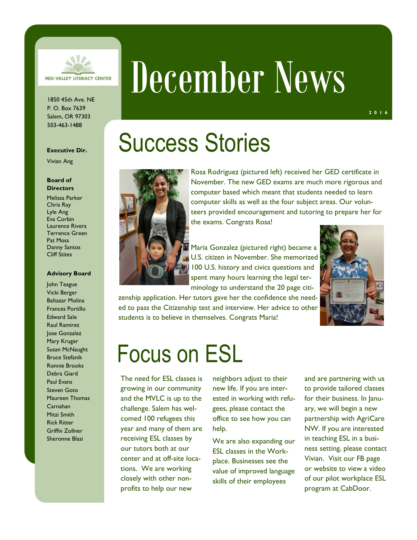

1850 45th Ave. NE P. O. Box 7639 Salem, OR 97303 503-463-1488

#### **Executive Dir.**

Vivian Ang

#### **Board of Directors**

Melissa Parker Chris Ray Lyle Ang Eva Corbin Laurence Rivera Terrence Green Pat Moss Danny Santos Cliff Stites

#### **Advisory Board**

John Teague Vicki Berger Baltazar Molina Frances Portillo Edward Sale Raul Ramirez Jose Gonzalez Mary Kruger Susan McNaught Bruce Stefanik Ronnie Brooks Debra Giard Paul Evans Steven Goto Maureen Thomas Carnahan Mitzi Smith Rick Ritter Griffin Zollner Sheronne Blasi

# December News

## Success Stories



Rosa Rodriguez (pictured left) received her GED certificate in November. The new GED exams are much more rigorous and computer based which meant that students needed to learn computer skills as well as the four subject areas. Our volunteers provided encouragement and tutoring to prepare her for the exams. Congrats Rosa!

Maria Gonzalez (pictured right) became a U.S. citizen in November. She memorized 100 U.S. history and civics questions and spent many hours learning the legal terminology to understand the 20 page citi-

zenship application. Her tutors gave her the confidence she needed to pass the Citizenship test and interview. Her advice to other students is to believe in themselves. Congrats Maria!



### Focus on ESL

The need for ESL classes is growing in our community and the MVLC is up to the challenge. Salem has welcomed 100 refugees this year and many of them are receiving ESL classes by our tutors both at our center and at off-site locations. We are working closely with other nonprofits to help our new

neighbors adjust to their new life. If you are interested in working with refugees, please contact the office to see how you can help.

We are also expanding our ESL classes in the Workplace. Businesses see the value of improved language skills of their employees

and are partnering with us to provide tailored classes for their business. In January, we will begin a new partnership with AgriCare NW. If you are interested in teaching ESL in a business setting, please contact Vivian. Visit our FB page or website to view a video of our pilot workplace ESL program at CabDoor.